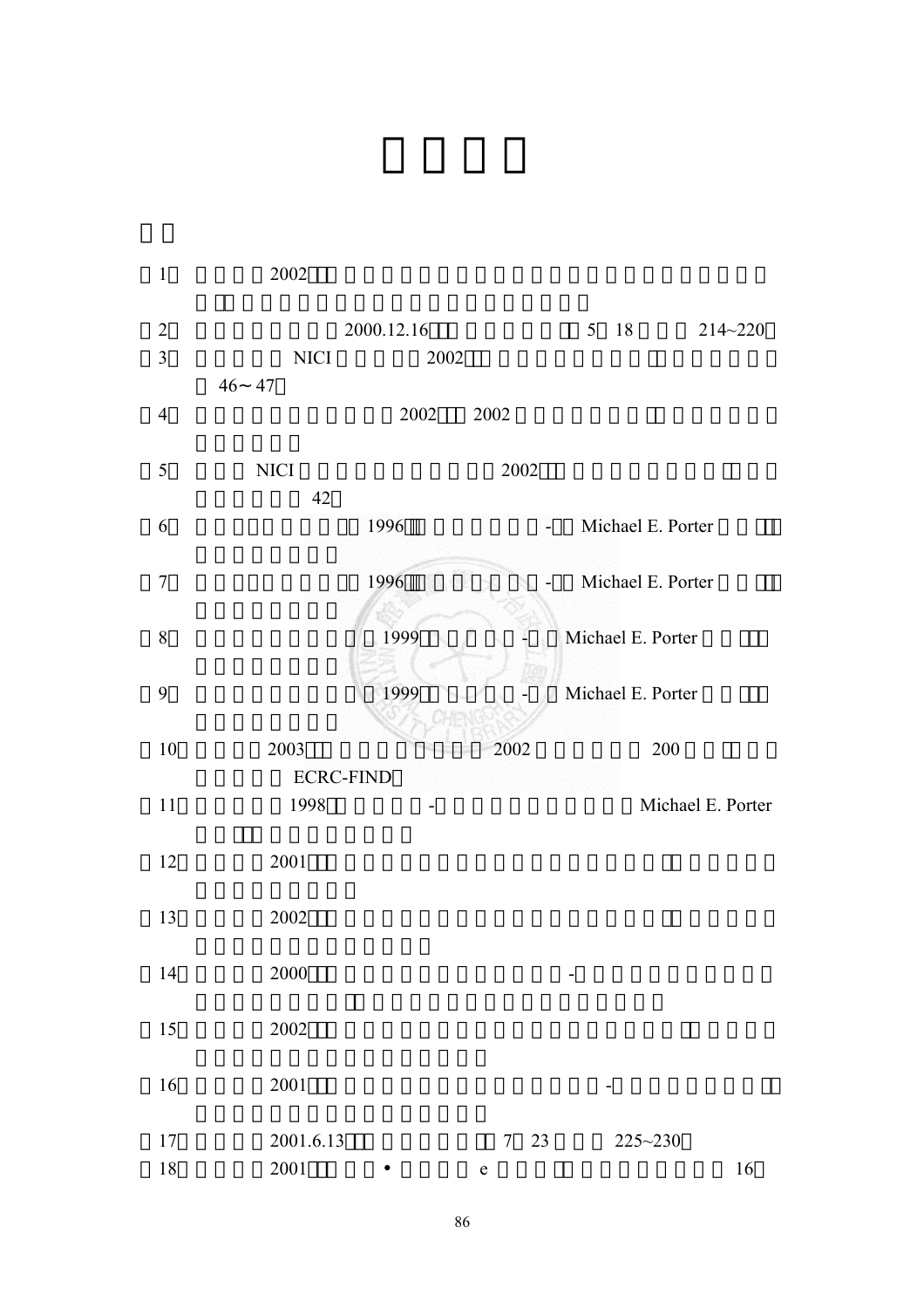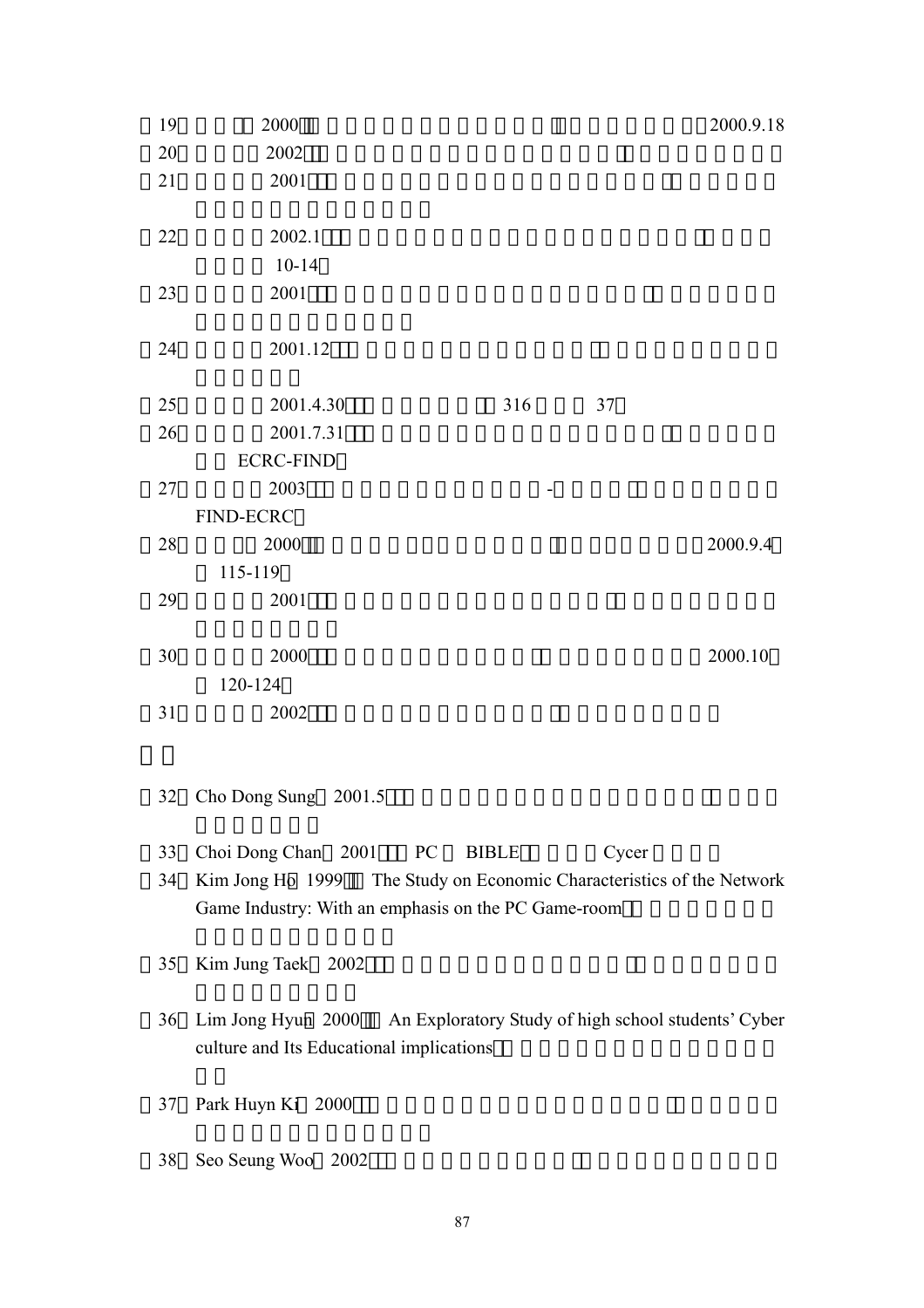| 19 | 2000                                                                   |                    |       | 2000.9.18                                            |
|----|------------------------------------------------------------------------|--------------------|-------|------------------------------------------------------|
| 20 | 2002                                                                   |                    |       |                                                      |
| 21 | 2001                                                                   |                    |       |                                                      |
|    |                                                                        |                    |       |                                                      |
| 22 | 2002.1                                                                 |                    |       |                                                      |
|    | $10 - 14$                                                              |                    |       |                                                      |
| 23 | 2001                                                                   |                    |       |                                                      |
|    |                                                                        |                    |       |                                                      |
| 24 | 2001.12                                                                |                    |       |                                                      |
|    |                                                                        |                    |       |                                                      |
| 25 | 2001.4.30                                                              | 316                | 37    |                                                      |
| 26 | 2001.7.31                                                              |                    |       |                                                      |
|    | <b>ECRC-FIND</b>                                                       |                    |       |                                                      |
| 27 | 2003                                                                   |                    |       |                                                      |
|    | <b>FIND-ECRC</b>                                                       |                    |       |                                                      |
| 28 | 2000                                                                   |                    |       | 2000.9.4                                             |
|    | 115-119                                                                |                    |       |                                                      |
| 29 | 2001                                                                   |                    |       |                                                      |
|    |                                                                        |                    |       |                                                      |
| 30 | 2000                                                                   |                    |       | 2000.10                                              |
|    | 120-124                                                                |                    |       |                                                      |
| 31 | 2002                                                                   |                    |       |                                                      |
|    |                                                                        |                    |       |                                                      |
|    |                                                                        |                    |       |                                                      |
|    | 32 Cho Dong Sung 2001.5                                                |                    |       |                                                      |
|    |                                                                        |                    |       |                                                      |
| 33 | Choi Dong Chan 2001                                                    | <b>BIBLE</b><br>PC | Cycer |                                                      |
| 34 | Kim Jong Ho 1999                                                       |                    |       | The Study on Economic Characteristics of the Network |
|    | Game Industry: With an emphasis on the PC Game-room                    |                    |       |                                                      |
|    |                                                                        |                    |       |                                                      |
| 35 | Kim Jung Taek 2002                                                     |                    |       |                                                      |
|    |                                                                        |                    |       |                                                      |
| 36 | Lim Jong Hyun 2000 An Exploratory Study of high school students' Cyber |                    |       |                                                      |
|    | culture and Its Educational implications                               |                    |       |                                                      |
|    |                                                                        |                    |       |                                                      |
| 37 | Park Huyn Ki 2000                                                      |                    |       |                                                      |
|    |                                                                        |                    |       |                                                      |
|    |                                                                        |                    |       |                                                      |

38 Seo Seung Woo 2002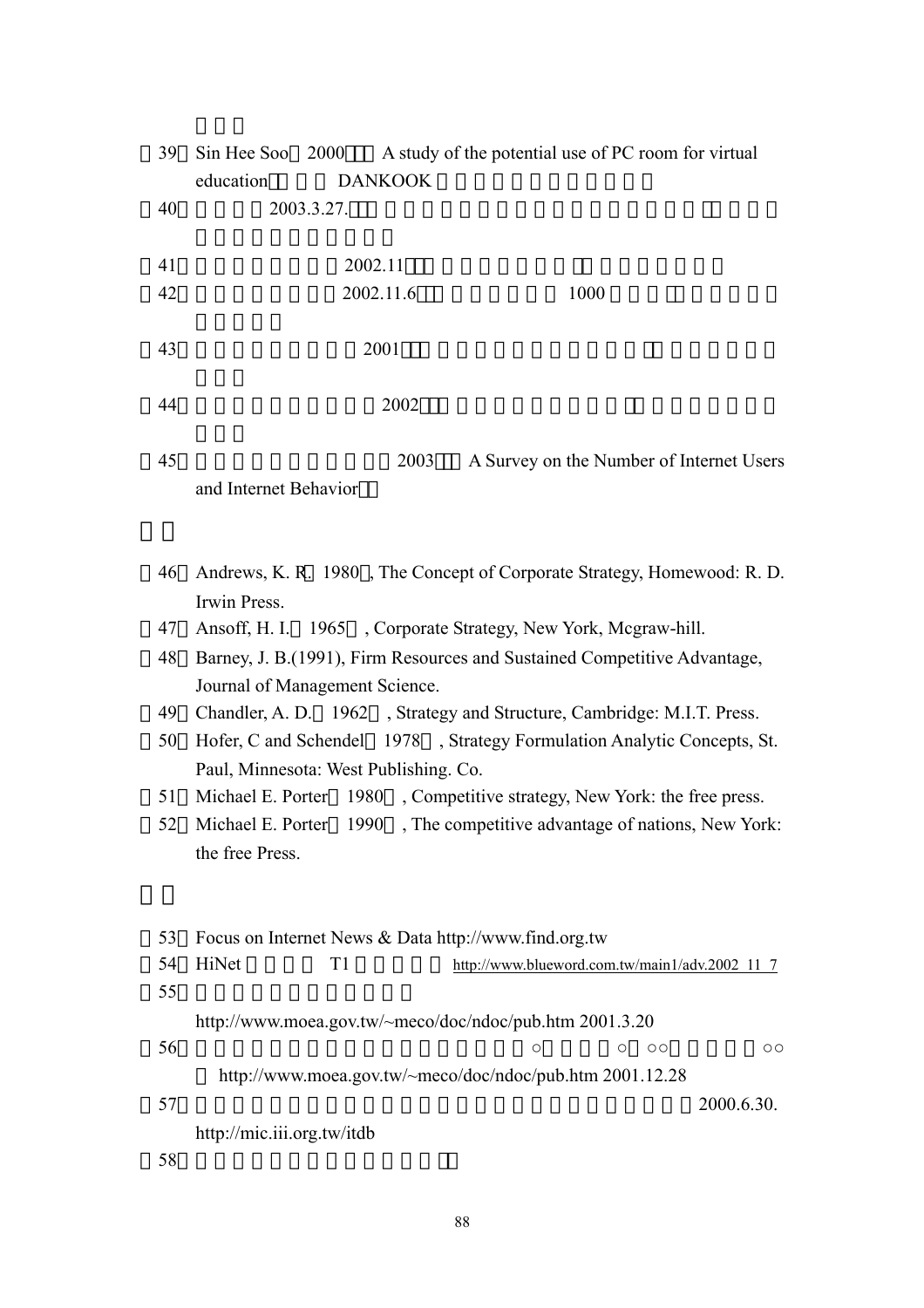| 39 | Sin Hee Soo 2000<br>A study of the potential use of PC room for virtual<br>education<br><b>DANKOOK</b> |  |  |  |  |
|----|--------------------------------------------------------------------------------------------------------|--|--|--|--|
| 40 | 2003.3.27.                                                                                             |  |  |  |  |
| 41 | 2002.11                                                                                                |  |  |  |  |
| 42 | 2002.11.6<br>1000                                                                                      |  |  |  |  |
| 43 | 2001                                                                                                   |  |  |  |  |
| 44 | 2002                                                                                                   |  |  |  |  |
| 45 | 2003<br>A Survey on the Number of Internet Users<br>and Internet Behavior                              |  |  |  |  |
| 46 | Andrews, K. R. 1980, The Concept of Corporate Strategy, Homewood: R. D.<br>Irwin Press.                |  |  |  |  |
| 47 | Ansoff, H. I. 1965, Corporate Strategy, New York, Mcgraw-hill.                                         |  |  |  |  |
| 48 | Barney, J. B.(1991), Firm Resources and Sustained Competitive Advantage,                               |  |  |  |  |
|    | Journal of Management Science.                                                                         |  |  |  |  |
| 49 | Chandler, A. D. 1962, Strategy and Structure, Cambridge: M.I.T. Press.                                 |  |  |  |  |
| 50 | Hofer, C and Schendel 1978, Strategy Formulation Analytic Concepts, St.                                |  |  |  |  |
|    | Paul, Minnesota: West Publishing. Co.                                                                  |  |  |  |  |
| 51 | Michael E. Porter 1980, Competitive strategy, New York: the free press.                                |  |  |  |  |
| 52 | , The competitive advantage of nations, New York:<br>1990<br>Michael E. Porter                         |  |  |  |  |
|    | the free Press.                                                                                        |  |  |  |  |
| 53 | Focus on Internet News & Data http://www.find.org.tw                                                   |  |  |  |  |
| 54 | HiNet<br>T1<br>http://www.blueword.com.tw/main1/adv.2002 11 7                                          |  |  |  |  |
| 55 |                                                                                                        |  |  |  |  |
|    | http://www.moea.gov.tw/~meco/doc/ndoc/pub.htm 2001.3.20                                                |  |  |  |  |
| 56 | $\circ$<br>О<br>$\circ$<br>$\circ$                                                                     |  |  |  |  |
|    | http://www.moea.gov.tw/~meco/doc/ndoc/pub.htm 2001.12.28                                               |  |  |  |  |
| 57 | 2000.6.30.                                                                                             |  |  |  |  |
|    | http://mic.iii.org.tw/itdb                                                                             |  |  |  |  |
| 58 |                                                                                                        |  |  |  |  |